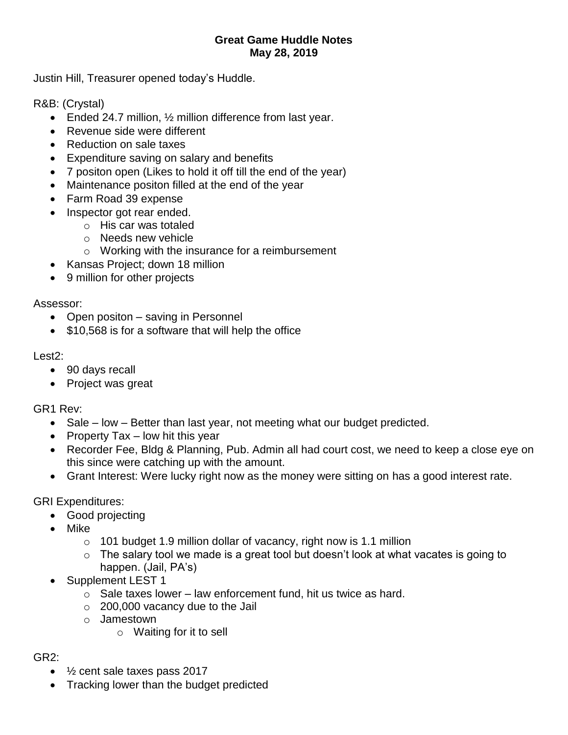## **Great Game Huddle Notes May 28, 2019**

Justin Hill, Treasurer opened today's Huddle.

R&B: (Crystal)

- Ended 24.7 million, 1/2 million difference from last year.
- Revenue side were different
- Reduction on sale taxes
- Expenditure saving on salary and benefits
- 7 positon open (Likes to hold it off till the end of the year)
- Maintenance positon filled at the end of the year
- Farm Road 39 expense
- Inspector got rear ended.
	- o His car was totaled
	- o Needs new vehicle
	- $\circ$  Working with the insurance for a reimbursement
- Kansas Project; down 18 million
- 9 million for other projects

Assessor:

- Open positon saving in Personnel
- \$10,568 is for a software that will help the office

## Lest2:

- 90 days recall
- Project was great

GR1 Rev:

- Sale low Better than last year, not meeting what our budget predicted.
- Property Tax  $-$  low hit this year
- Recorder Fee, Bldg & Planning, Pub. Admin all had court cost, we need to keep a close eye on this since were catching up with the amount.
- Grant Interest: Were lucky right now as the money were sitting on has a good interest rate.

GRI Expenditures:

- Good projecting
- Mike
	- $\circ$  101 budget 1.9 million dollar of vacancy, right now is 1.1 million
	- $\circ$  The salary tool we made is a great tool but doesn't look at what vacates is going to happen. (Jail, PA's)
- Supplement LEST 1
	- $\circ$  Sale taxes lower law enforcement fund, hit us twice as hard.
	- $\circ$  200,000 vacancy due to the Jail
	- o Jamestown
		- o Waiting for it to sell

## GR2:

- 1/<sub>2</sub> cent sale taxes pass 2017
- Tracking lower than the budget predicted